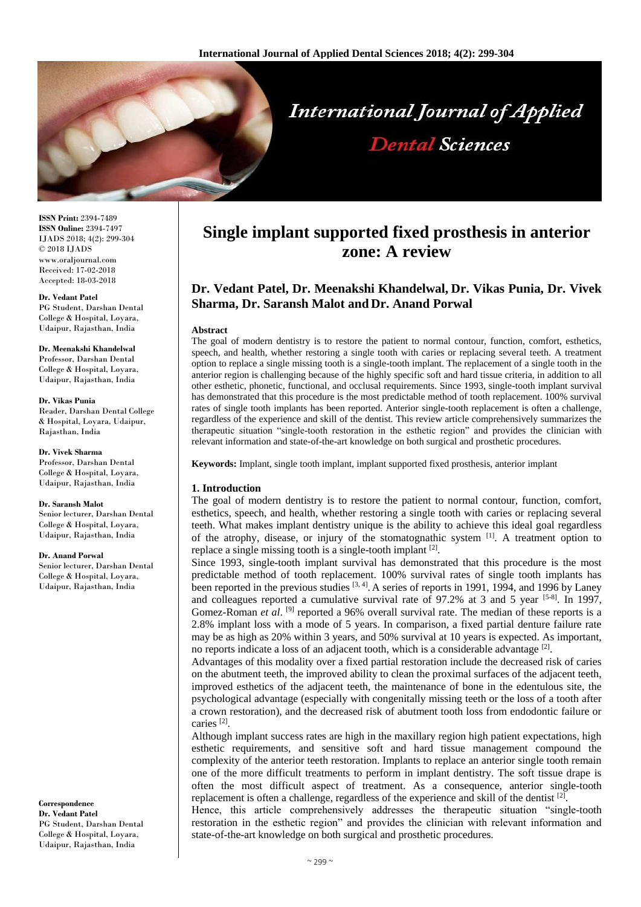

**ISSN Print:** 2394-7489 **ISSN Online:** 2394-7497 IJADS 2018; 4(2): 299-304 © 2018 IJADS www.oraljournal.com Received: 17-02-2018 Accepted: 18-03-2018

#### **Dr. Vedant Patel**

PG Student, Darshan Dental College & Hospital, Loyara, Udaipur, Rajasthan, India

# **Dr. Meenakshi Khandelwal**

Professor, Darshan Dental College & Hospital, Loyara, Udaipur, Rajasthan, India

#### **Dr. Vikas Punia**

Reader, Darshan Dental College & Hospital, Loyara, Udaipur, Rajasthan, India

#### **Dr. Vivek Sharma**

Professor, Darshan Dental College & Hospital, Loyara, Udaipur, Rajasthan, India

#### **Dr. Saransh Malot**

Senior lecturer, Darshan Dental College & Hospital, Loyara, Udaipur, Rajasthan, India

#### **Dr. Anand Porwal**

Senior lecturer, Darshan Dental College & Hospital, Loyara, Udaipur, Rajasthan, India

**Correspondence Dr. Vedant Patel** PG Student, Darshan Dental College & Hospital, Loyara, Udaipur, Rajasthan, India

# **Single implant supported fixed prosthesis in anterior zone: A review**

# **Dr. Vedant Patel, Dr. Meenakshi Khandelwal, Dr. Vikas Punia, Dr. Vivek Sharma, Dr. Saransh Malot and Dr. Anand Porwal**

#### **Abstract**

The goal of modern dentistry is to restore the patient to normal contour, function, comfort, esthetics, speech, and health, whether restoring a single tooth with caries or replacing several teeth. A treatment option to replace a single missing tooth is a single-tooth implant. The replacement of a single tooth in the anterior region is challenging because of the highly specific soft and hard tissue criteria, in addition to all other esthetic, phonetic, functional, and occlusal requirements. Since 1993, single-tooth implant survival has demonstrated that this procedure is the most predictable method of tooth replacement. 100% survival rates of single tooth implants has been reported. Anterior single-tooth replacement is often a challenge, regardless of the experience and skill of the dentist. This review article comprehensively summarizes the therapeutic situation "single-tooth restoration in the esthetic region" and provides the clinician with relevant information and state-of-the-art knowledge on both surgical and prosthetic procedures.

**Keywords:** Implant, single tooth implant, implant supported fixed prosthesis, anterior implant

#### **1. Introduction**

The goal of modern dentistry is to restore the patient to normal contour, function, comfort, esthetics, speech, and health, whether restoring a single tooth with caries or replacing several teeth. What makes implant dentistry unique is the ability to achieve this ideal goal regardless of the atrophy, disease, or injury of the stomatognathic system  $[1]$ . A treatment option to replace a single missing tooth is a single-tooth implant [2].

Since 1993, single-tooth implant survival has demonstrated that this procedure is the most predictable method of tooth replacement. 100% survival rates of single tooth implants has been reported in the previous studies <sup>[3, 4]</sup>. A series of reports in 1991, 1994, and 1996 by Laney and colleagues reported a cumulative survival rate of  $97.2\%$  at 3 and 5 year  $[5-8]$ . In 1997, Gomez-Roman *et al.* <sup>[9]</sup> reported a 96% overall survival rate. The median of these reports is a 2.8% implant loss with a mode of 5 years. In comparison, a fixed partial denture failure rate may be as high as 20% within 3 years, and 50% survival at 10 years is expected. As important, no reports indicate a loss of an adjacent tooth, which is a considerable advantage  $[2]$ .

Advantages of this modality over a fixed partial restoration include the decreased risk of caries on the abutment teeth, the improved ability to clean the proximal surfaces of the adjacent teeth, improved esthetics of the adjacent teeth, the maintenance of bone in the edentulous site, the psychological advantage (especially with congenitally missing teeth or the loss of a tooth after a crown restoration), and the decreased risk of abutment tooth loss from endodontic failure or caries [2] .

Although implant success rates are high in the maxillary region high patient expectations, high esthetic requirements, and sensitive soft and hard tissue management compound the complexity of the anterior teeth restoration. Implants to replace an anterior single tooth remain one of the more difficult treatments to perform in implant dentistry. The soft tissue drape is often the most difficult aspect of treatment. As a consequence, anterior single-tooth replacement is often a challenge, regardless of the experience and skill of the dentist  $[2]$ .

Hence, this article comprehensively addresses the therapeutic situation "single-tooth restoration in the esthetic region" and provides the clinician with relevant information and state-of-the-art knowledge on both surgical and prosthetic procedures.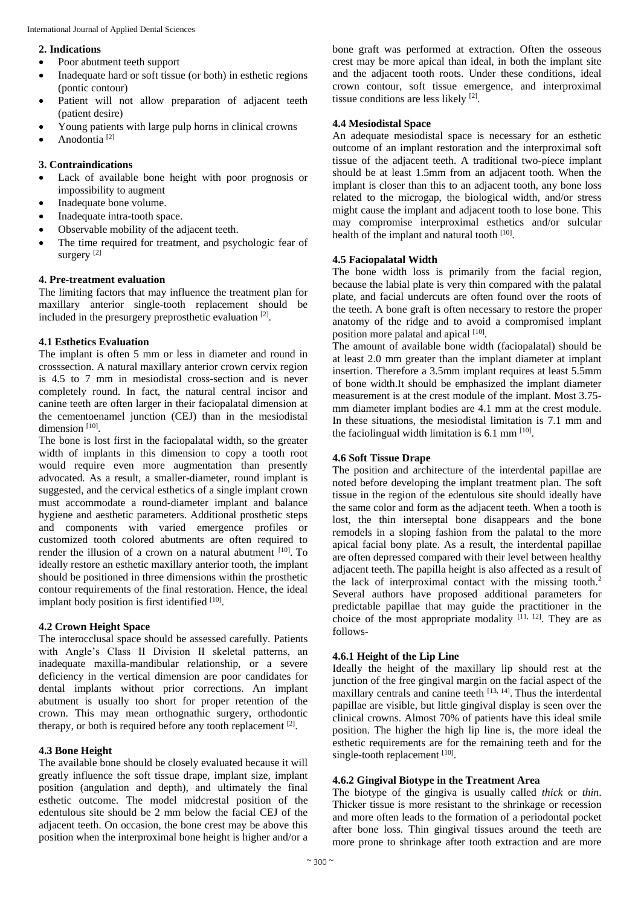### **2. Indications**

- Poor abutment teeth support
- Inadequate hard or soft tissue (or both) in esthetic regions (pontic contour)
- Patient will not allow preparation of adjacent teeth (patient desire)
- Young patients with large pulp horns in clinical crowns
- Anodontia [2]

# **3. Contraindications**

- Lack of available bone height with poor prognosis or impossibility to augment
- Inadequate bone volume.
- Inadequate intra-tooth space.
- Observable mobility of the adjacent teeth.
- The time required for treatment, and psychologic fear of surgery<sup>[2]</sup>

# **4. Pre-treatment evaluation**

The limiting factors that may influence the treatment plan for maxillary anterior single-tooth replacement should be included in the presurgery preprosthetic evaluation  $[2]$ .

# **4.1 Esthetics Evaluation**

The implant is often 5 mm or less in diameter and round in crosssection. A natural maxillary anterior crown cervix region is 4.5 to 7 mm in mesiodistal cross-section and is never completely round. In fact, the natural central incisor and canine teeth are often larger in their faciopalatal dimension at the cementoenamel junction (CEJ) than in the mesiodistal dimension<sup>[10]</sup>.

The bone is lost first in the faciopalatal width, so the greater width of implants in this dimension to copy a tooth root would require even more augmentation than presently advocated. As a result, a smaller-diameter, round implant is suggested, and the cervical esthetics of a single implant crown must accommodate a round-diameter implant and balance hygiene and aesthetic parameters. Additional prosthetic steps and components with varied emergence profiles or customized tooth colored abutments are often required to render the illusion of a crown on a natural abutment  $[10]$ . To ideally restore an esthetic maxillary anterior tooth, the implant should be positioned in three dimensions within the prosthetic contour requirements of the final restoration. Hence, the ideal implant body position is first identified [10].

# **4.2 Crown Height Space**

The interocclusal space should be assessed carefully. Patients with Angle's Class II Division II skeletal patterns, an inadequate maxilla-mandibular relationship, or a severe deficiency in the vertical dimension are poor candidates for dental implants without prior corrections. An implant abutment is usually too short for proper retention of the crown. This may mean orthognathic surgery, orthodontic therapy, or both is required before any tooth replacement [2].

# **4.3 Bone Height**

The available bone should be closely evaluated because it will greatly influence the soft tissue drape, implant size, implant position (angulation and depth), and ultimately the final esthetic outcome. The model midcrestal position of the edentulous site should be 2 mm below the facial CEJ of the adjacent teeth. On occasion, the bone crest may be above this position when the interproximal bone height is higher and/or a

bone graft was performed at extraction. Often the osseous crest may be more apical than ideal, in both the implant site and the adjacent tooth roots. Under these conditions, ideal crown contour, soft tissue emergence, and interproximal tissue conditions are less likely [2].

# **4.4 Mesiodistal Space**

An adequate mesiodistal space is necessary for an esthetic outcome of an implant restoration and the interproximal soft tissue of the adjacent teeth. A traditional two-piece implant should be at least 1.5mm from an adjacent tooth. When the implant is closer than this to an adjacent tooth, any bone loss related to the microgap, the biological width, and/or stress might cause the implant and adjacent tooth to lose bone. This may compromise interproximal esthetics and/or sulcular health of the implant and natural tooth [10].

# **4.5 Faciopalatal Width**

The bone width loss is primarily from the facial region, because the labial plate is very thin compared with the palatal plate, and facial undercuts are often found over the roots of the teeth. A bone graft is often necessary to restore the proper anatomy of the ridge and to avoid a compromised implant position more palatal and apical [10].

The amount of available bone width (faciopalatal) should be at least 2.0 mm greater than the implant diameter at implant insertion. Therefore a 3.5mm implant requires at least 5.5mm of bone width.It should be emphasized the implant diameter measurement is at the crest module of the implant. Most 3.75 mm diameter implant bodies are 4.1 mm at the crest module. In these situations, the mesiodistal limitation is 7.1 mm and the faciolingual width limitation is  $6.1 \text{ mm}$ <sup>[10]</sup>.

# **4.6 Soft Tissue Drape**

The position and architecture of the interdental papillae are noted before developing the implant treatment plan. The soft tissue in the region of the edentulous site should ideally have the same color and form as the adjacent teeth. When a tooth is lost, the thin interseptal bone disappears and the bone remodels in a sloping fashion from the palatal to the more apical facial bony plate. As a result, the interdental papillae are often depressed compared with their level between healthy adjacent teeth. The papilla height is also affected as a result of the lack of interproximal contact with the missing tooth.<sup>2</sup> Several authors have proposed additional parameters for predictable papillae that may guide the practitioner in the choice of the most appropriate modality  $[11, 12]$ . They are as follows-

# **4.6.1 Height of the Lip Line**

Ideally the height of the maxillary lip should rest at the junction of the free gingival margin on the facial aspect of the maxillary centrals and canine teeth  $[13, 14]$ . Thus the interdental papillae are visible, but little gingival display is seen over the clinical crowns. Almost 70% of patients have this ideal smile position. The higher the high lip line is, the more ideal the esthetic requirements are for the remaining teeth and for the single-tooth replacement [10].

# **4.6.2 Gingival Biotype in the Treatment Area**

The biotype of the gingiva is usually called *thick* or *thin*. Thicker tissue is more resistant to the shrinkage or recession and more often leads to the formation of a periodontal pocket after bone loss. Thin gingival tissues around the teeth are more prone to shrinkage after tooth extraction and are more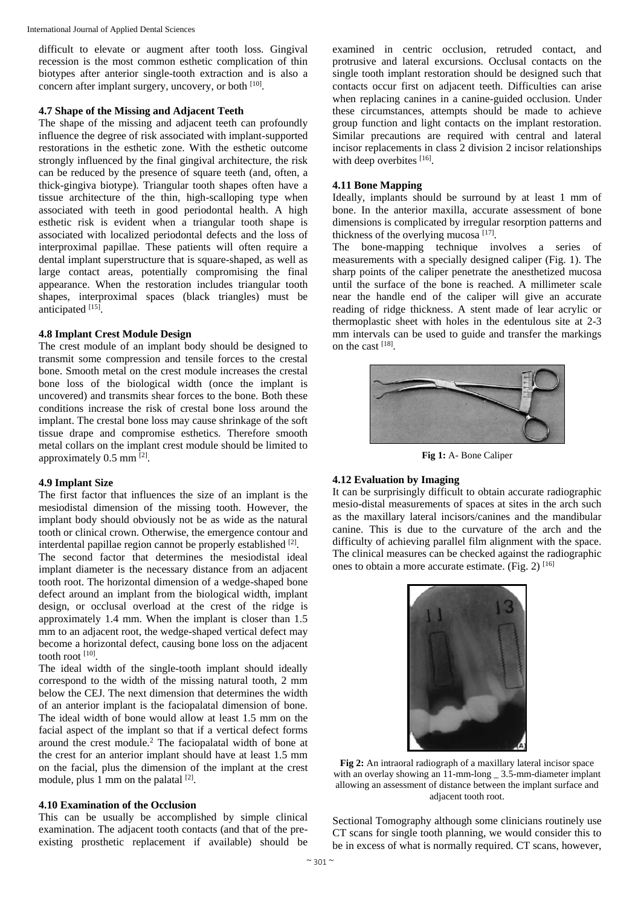difficult to elevate or augment after tooth loss. Gingival recession is the most common esthetic complication of thin biotypes after anterior single-tooth extraction and is also a concern after implant surgery, uncovery, or both [10].

### **4.7 Shape of the Missing and Adjacent Teeth**

The shape of the missing and adjacent teeth can profoundly influence the degree of risk associated with implant-supported restorations in the esthetic zone. With the esthetic outcome strongly influenced by the final gingival architecture, the risk can be reduced by the presence of square teeth (and, often, a thick-gingiva biotype). Triangular tooth shapes often have a tissue architecture of the thin, high-scalloping type when associated with teeth in good periodontal health. A high esthetic risk is evident when a triangular tooth shape is associated with localized periodontal defects and the loss of interproximal papillae. These patients will often require a dental implant superstructure that is square-shaped, as well as large contact areas, potentially compromising the final appearance. When the restoration includes triangular tooth shapes, interproximal spaces (black triangles) must be anticipated [15].

#### **4.8 Implant Crest Module Design**

The crest module of an implant body should be designed to transmit some compression and tensile forces to the crestal bone. Smooth metal on the crest module increases the crestal bone loss of the biological width (once the implant is uncovered) and transmits shear forces to the bone. Both these conditions increase the risk of crestal bone loss around the implant. The crestal bone loss may cause shrinkage of the soft tissue drape and compromise esthetics. Therefore smooth metal collars on the implant crest module should be limited to approximately  $0.5$  mm  $^{[2]}$ .

#### **4.9 Implant Size**

The first factor that influences the size of an implant is the mesiodistal dimension of the missing tooth. However, the implant body should obviously not be as wide as the natural tooth or clinical crown. Otherwise, the emergence contour and interdental papillae region cannot be properly established [2].

The second factor that determines the mesiodistal ideal implant diameter is the necessary distance from an adjacent tooth root. The horizontal dimension of a wedge-shaped bone defect around an implant from the biological width, implant design, or occlusal overload at the crest of the ridge is approximately 1.4 mm. When the implant is closer than 1.5 mm to an adjacent root, the wedge-shaped vertical defect may become a horizontal defect, causing bone loss on the adjacent tooth root [10].

The ideal width of the single-tooth implant should ideally correspond to the width of the missing natural tooth, 2 mm below the CEJ. The next dimension that determines the width of an anterior implant is the faciopalatal dimension of bone. The ideal width of bone would allow at least 1.5 mm on the facial aspect of the implant so that if a vertical defect forms around the crest module.<sup>2</sup> The faciopalatal width of bone at the crest for an anterior implant should have at least 1.5 mm on the facial, plus the dimension of the implant at the crest module, plus 1 mm on the palatal [2].

# **4.10 Examination of the Occlusion**

This can be usually be accomplished by simple clinical examination. The adjacent tooth contacts (and that of the preexisting prosthetic replacement if available) should be

examined in centric occlusion, retruded contact, and protrusive and lateral excursions. Occlusal contacts on the single tooth implant restoration should be designed such that contacts occur first on adjacent teeth. Difficulties can arise when replacing canines in a canine-guided occlusion. Under these circumstances, attempts should be made to achieve group function and light contacts on the implant restoration. Similar precautions are required with central and lateral incisor replacements in class 2 division 2 incisor relationships with deep overbites [16].

#### **4.11 Bone Mapping**

Ideally, implants should be surround by at least 1 mm of bone. In the anterior maxilla, accurate assessment of bone dimensions is complicated by irregular resorption patterns and thickness of the overlying mucosa  $[17]$ .

The bone-mapping technique involves a series of measurements with a specially designed caliper (Fig. 1). The sharp points of the caliper penetrate the anesthetized mucosa until the surface of the bone is reached. A millimeter scale near the handle end of the caliper will give an accurate reading of ridge thickness. A stent made of lear acrylic or thermoplastic sheet with holes in the edentulous site at 2-3 mm intervals can be used to guide and transfer the markings on the cast [18].



**Fig 1:** A- Bone Caliper

### **4.12 Evaluation by Imaging**

It can be surprisingly difficult to obtain accurate radiographic mesio-distal measurements of spaces at sites in the arch such as the maxillary lateral incisors/canines and the mandibular canine. This is due to the curvature of the arch and the difficulty of achieving parallel film alignment with the space. The clinical measures can be checked against the radiographic ones to obtain a more accurate estimate. (Fig. 2)  $[16]$ 



**Fig 2:** An intraoral radiograph of a maxillary lateral incisor space with an overlay showing an 11-mm-long \_ 3.5-mm-diameter implant allowing an assessment of distance between the implant surface and adjacent tooth root.

Sectional Tomography although some clinicians routinely use CT scans for single tooth planning, we would consider this to be in excess of what is normally required. CT scans, however,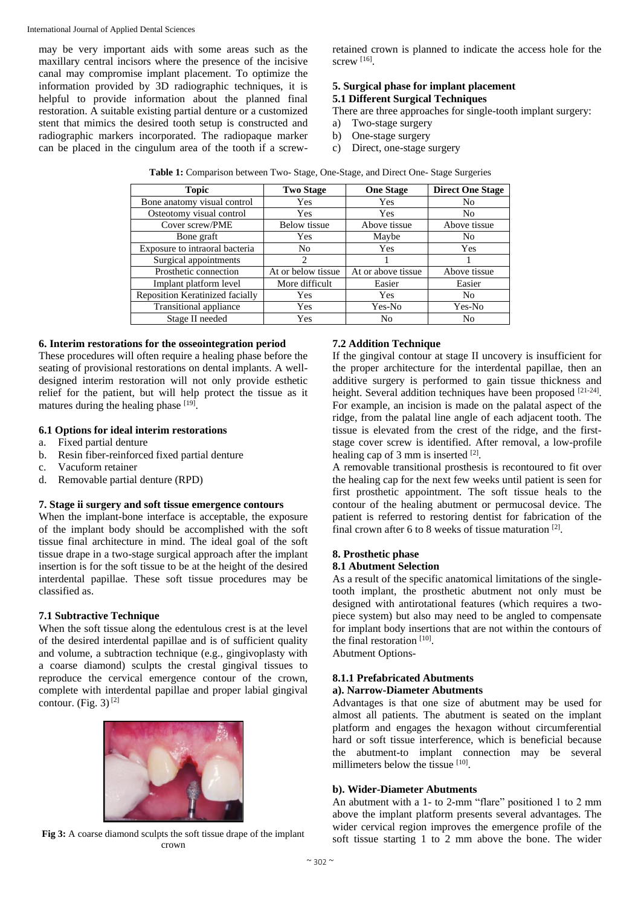may be very important aids with some areas such as the maxillary central incisors where the presence of the incisive canal may compromise implant placement. To optimize the information provided by 3D radiographic techniques, it is helpful to provide information about the planned final restoration. A suitable existing partial denture or a customized stent that mimics the desired tooth setup is constructed and radiographic markers incorporated. The radiopaque marker can be placed in the cingulum area of the tooth if a screwretained crown is planned to indicate the access hole for the screw [16].

# **5. Surgical phase for implant placement 5.1 Different Surgical Techniques**

There are three approaches for single-tooth implant surgery:

- a) Two-stage surgery
- b) One-stage surgery
- c) Direct, one-stage surgery

| <b>Topic</b>                    | <b>Two Stage</b><br><b>One Stage</b> |                    | <b>Direct One Stage</b> |
|---------------------------------|--------------------------------------|--------------------|-------------------------|
| Bone anatomy visual control     | Yes                                  | Yes                | N <sub>0</sub>          |
| Osteotomy visual control        | Yes                                  | Yes                | N <sub>0</sub>          |
| Cover screw/PME                 | <b>Below</b> tissue<br>Above tissue  |                    | Above tissue            |
| Bone graft                      | Yes                                  | Maybe              | N <sub>0</sub>          |
| Exposure to intraoral bacteria  | No                                   | Yes                | <b>Yes</b>              |
| Surgical appointments           | $\mathfrak{D}$                       |                    |                         |
| Prosthetic connection           | At or below tissue                   | At or above tissue | Above tissue            |
| Implant platform level          | More difficult                       | Easier             | Easier                  |
| Reposition Keratinized facially | <b>Yes</b>                           | Yes                | N <sub>0</sub>          |
| Transitional appliance          | Yes                                  | Yes-No             | Yes-No                  |
| Stage II needed                 | Yes                                  | No                 | No                      |

| Table 1: Comparison between Two- Stage, One-Stage, and Direct One- Stage Surgeries |  |  |  |
|------------------------------------------------------------------------------------|--|--|--|
|------------------------------------------------------------------------------------|--|--|--|

# **6. Interim restorations for the osseointegration period**

These procedures will often require a healing phase before the seating of provisional restorations on dental implants. A welldesigned interim restoration will not only provide esthetic relief for the patient, but will help protect the tissue as it matures during the healing phase [19].

# **6.1 Options for ideal interim restorations**

- a. Fixed partial denture
- b. Resin fiber-reinforced fixed partial denture
- c. Vacuform retainer
- d. Removable partial denture (RPD)

#### **7. Stage ii surgery and soft tissue emergence contours**

When the implant-bone interface is acceptable, the exposure of the implant body should be accomplished with the soft tissue final architecture in mind. The ideal goal of the soft tissue drape in a two-stage surgical approach after the implant insertion is for the soft tissue to be at the height of the desired interdental papillae. These soft tissue procedures may be classified as.

# **7.1 Subtractive Technique**

When the soft tissue along the edentulous crest is at the level of the desired interdental papillae and is of sufficient quality and volume, a subtraction technique (e.g., gingivoplasty with a coarse diamond) sculpts the crestal gingival tissues to reproduce the cervical emergence contour of the crown, complete with interdental papillae and proper labial gingival contour. (Fig. 3) $^{[2]}$ 



**Fig 3:** A coarse diamond sculpts the soft tissue drape of the implant crown

## **7.2 Addition Technique**

If the gingival contour at stage II uncovery is insufficient for the proper architecture for the interdental papillae, then an additive surgery is performed to gain tissue thickness and height. Several addition techniques have been proposed [21-24]. For example, an incision is made on the palatal aspect of the ridge, from the palatal line angle of each adjacent tooth. The tissue is elevated from the crest of the ridge, and the firststage cover screw is identified. After removal, a low-profile healing cap of 3 mm is inserted  $[2]$ .

A removable transitional prosthesis is recontoured to fit over the healing cap for the next few weeks until patient is seen for first prosthetic appointment. The soft tissue heals to the contour of the healing abutment or permucosal device. The patient is referred to restoring dentist for fabrication of the final crown after 6 to 8 weeks of tissue maturation  $[2]$ .

# **8. Prosthetic phase 8.1 Abutment Selection**

As a result of the specific anatomical limitations of the singletooth implant, the prosthetic abutment not only must be

designed with antirotational features (which requires a twopiece system) but also may need to be angled to compensate for implant body insertions that are not within the contours of the final restoration<sup>[10]</sup>.

Abutment Options-

# **8.1.1 Prefabricated Abutments**

# **a). Narrow-Diameter Abutments**

Advantages is that one size of abutment may be used for almost all patients. The abutment is seated on the implant platform and engages the hexagon without circumferential hard or soft tissue interference, which is beneficial because the abutment-to implant connection may be several millimeters below the tissue [10].

# **b). Wider-Diameter Abutments**

An abutment with a 1- to 2-mm "flare" positioned 1 to 2 mm above the implant platform presents several advantages. The wider cervical region improves the emergence profile of the soft tissue starting 1 to 2 mm above the bone. The wider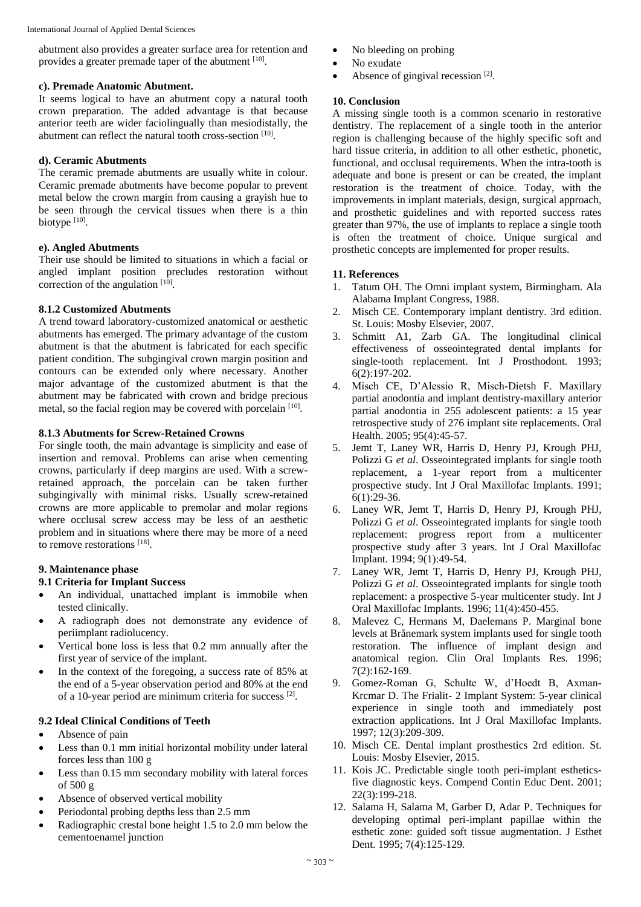abutment also provides a greater surface area for retention and provides a greater premade taper of the abutment [10].

## **c). Premade Anatomic Abutment.**

It seems logical to have an abutment copy a natural tooth crown preparation. The added advantage is that because anterior teeth are wider faciolingually than mesiodistally, the abutment can reflect the natural tooth cross-section [10].

# **d). Ceramic Abutments**

The ceramic premade abutments are usually white in colour. Ceramic premade abutments have become popular to prevent metal below the crown margin from causing a grayish hue to be seen through the cervical tissues when there is a thin biotype [10].

# **e). Angled Abutments**

Their use should be limited to situations in which a facial or angled implant position precludes restoration without correction of the angulation [10].

# **8.1.2 Customized Abutments**

A trend toward laboratory-customized anatomical or aesthetic abutments has emerged. The primary advantage of the custom abutment is that the abutment is fabricated for each specific patient condition. The subgingival crown margin position and contours can be extended only where necessary. Another major advantage of the customized abutment is that the abutment may be fabricated with crown and bridge precious metal, so the facial region may be covered with porcelain [10].

# **8.1.3 Abutments for Screw-Retained Crowns**

For single tooth, the main advantage is simplicity and ease of insertion and removal. Problems can arise when cementing crowns, particularly if deep margins are used. With a screwretained approach, the porcelain can be taken further subgingivally with minimal risks. Usually screw-retained crowns are more applicable to premolar and molar regions where occlusal screw access may be less of an aesthetic problem and in situations where there may be more of a need to remove restorations [18].

# **9. Maintenance phase**

### **9.1 Criteria for Implant Success**

- An individual, unattached implant is immobile when tested clinically.
- A radiograph does not demonstrate any evidence of periimplant radiolucency.
- Vertical bone loss is less that 0.2 mm annually after the first year of service of the implant.
- In the context of the foregoing, a success rate of 85% at the end of a 5-year observation period and 80% at the end of a 10-year period are minimum criteria for success [2].

# **9.2 Ideal Clinical Conditions of Teeth**

- Absence of pain
- Less than 0.1 mm initial horizontal mobility under lateral forces less than 100 g
- Less than 0.15 mm secondary mobility with lateral forces of 500 g
- Absence of observed vertical mobility
- Periodontal probing depths less than 2.5 mm
- Radiographic crestal bone height 1.5 to 2.0 mm below the cementoenamel junction
- No bleeding on probing
- No exudate
- $\bullet$  Absence of gingival recession [2].

# **10. Conclusion**

A missing single tooth is a common scenario in restorative dentistry. The replacement of a single tooth in the anterior region is challenging because of the highly specific soft and hard tissue criteria, in addition to all other esthetic, phonetic, functional, and occlusal requirements. When the intra-tooth is adequate and bone is present or can be created, the implant restoration is the treatment of choice. Today, with the improvements in implant materials, design, surgical approach, and prosthetic guidelines and with reported success rates greater than 97%, the use of implants to replace a single tooth is often the treatment of choice. Unique surgical and prosthetic concepts are implemented for proper results.

# **11. References**

- 1. Tatum OH. The Omni implant system, Birmingham. Ala Alabama Implant Congress, 1988.
- 2. Misch CE. Contemporary implant dentistry. 3rd edition. St. Louis: Mosby Elsevier, 2007.
- 3. Schmitt A1, Zarb GA. The longitudinal clinical effectiveness of osseointegrated dental implants for single-tooth replacement. Int J Prosthodont. 1993; 6(2):197-202.
- 4. Misch CE, D'Alessio R, Misch-Dietsh F. Maxillary partial anodontia and implant dentistry-maxillary anterior partial anodontia in 255 adolescent patients: a 15 year retrospective study of 276 implant site replacements. Oral Health. 2005; 95(4):45-57.
- 5. Jemt T, Laney WR, Harris D, Henry PJ, Krough PHJ, Polizzi G *et al*. Osseointegrated implants for single tooth replacement, a 1-year report from a multicenter prospective study. Int J Oral Maxillofac Implants. 1991;  $6(1):29-36.$
- 6. Laney WR, Jemt T, Harris D, Henry PJ, Krough PHJ, Polizzi G *et al*. Osseointegrated implants for single tooth replacement: progress report from a multicenter prospective study after 3 years. Int J Oral Maxillofac Implant. 1994; 9(1):49-54.
- 7. Laney WR, Jemt T, Harris D, Henry PJ, Krough PHJ, Polizzi G *et al*. Osseointegrated implants for single tooth replacement: a prospective 5-year multicenter study. Int J Oral Maxillofac Implants. 1996; 11(4):450-455.
- 8. Malevez C, Hermans M, Daelemans P. Marginal bone levels at Brånemark system implants used for single tooth restoration. The influence of implant design and anatomical region. Clin Oral Implants Res. 1996; 7(2):162-169.
- 9. Gomez-Roman G, Schulte W, d'Hoedt B, Axman-Krcmar D. The Frialit- 2 Implant System: 5-year clinical experience in single tooth and immediately post extraction applications. Int J Oral Maxillofac Implants. 1997; 12(3):209-309.
- 10. Misch CE. Dental implant prosthestics 2rd edition. St. Louis: Mosby Elsevier, 2015.
- 11. Kois JC. Predictable single tooth peri-implant estheticsfive diagnostic keys. Compend Contin Educ Dent. 2001; 22(3):199-218.
- 12. Salama H, Salama M, Garber D, Adar P. Techniques for developing optimal peri-implant papillae within the esthetic zone: guided soft tissue augmentation. J Esthet Dent. 1995; 7(4):125-129.